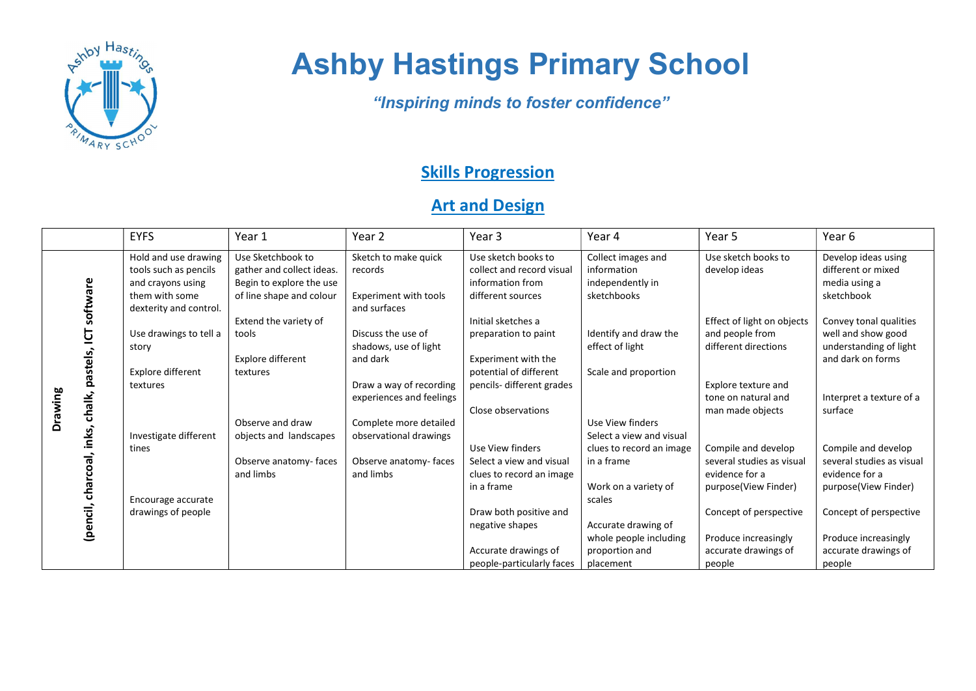

## Ashby Hastings Primary School

"Inspiring minds to foster confidence"

## **Skills Progression**

## **Art and Design**

|         |                                                  | <b>EYFS</b>                                                                                                    | Year 1                                                                                                 | Year 2                                                                       | Year 3                                                                                    | Year 4                                                               | Year 5                                                                | Year 6                                                                   |
|---------|--------------------------------------------------|----------------------------------------------------------------------------------------------------------------|--------------------------------------------------------------------------------------------------------|------------------------------------------------------------------------------|-------------------------------------------------------------------------------------------|----------------------------------------------------------------------|-----------------------------------------------------------------------|--------------------------------------------------------------------------|
| Drawing | software                                         | Hold and use drawing<br>tools such as pencils<br>and crayons using<br>them with some<br>dexterity and control. | Use Sketchbook to<br>gather and collect ideas.<br>Begin to explore the use<br>of line shape and colour | Sketch to make quick<br>records<br>Experiment with tools<br>and surfaces     | Use sketch books to<br>collect and record visual<br>information from<br>different sources | Collect images and<br>information<br>independently in<br>sketchbooks | Use sketch books to<br>develop ideas                                  | Develop ideas using<br>different or mixed<br>media using a<br>sketchbook |
|         | <u>ច</u><br>chalk, pastels,<br>inks,<br>charcoal | Use drawings to tell a<br>story                                                                                | Extend the variety of<br>tools                                                                         | Discuss the use of<br>shadows, use of light                                  | Initial sketches a<br>preparation to paint                                                | Identify and draw the<br>effect of light                             | Effect of light on objects<br>and people from<br>different directions | Convey tonal qualities<br>well and show good<br>understanding of light   |
|         |                                                  | Explore different<br>textures                                                                                  | Explore different<br>textures                                                                          | and dark<br>Draw a way of recording                                          | Experiment with the<br>potential of different<br>pencils-different grades                 | Scale and proportion                                                 | Explore texture and<br>tone on natural and                            | and dark on forms                                                        |
|         |                                                  | Investigate different                                                                                          | Observe and draw<br>objects and landscapes                                                             | experiences and feelings<br>Complete more detailed<br>observational drawings | Close observations                                                                        | Use View finders<br>Select a view and visual                         | man made objects                                                      | Interpret a texture of a<br>surface                                      |
|         |                                                  | tines                                                                                                          | Observe anatomy-faces<br>and limbs                                                                     | Observe anatomy-faces<br>and limbs                                           | Use View finders<br>Select a view and visual<br>clues to record an image                  | clues to record an image<br>in a frame                               | Compile and develop<br>several studies as visual<br>evidence for a    | Compile and develop<br>several studies as visual<br>evidence for a       |
|         |                                                  | Encourage accurate                                                                                             |                                                                                                        |                                                                              | in a frame<br>Draw both positive and                                                      | Work on a variety of<br>scales                                       | purpose(View Finder)                                                  | purpose(View Finder)                                                     |
|         | (pencil,                                         | drawings of people                                                                                             |                                                                                                        |                                                                              | negative shapes                                                                           | Accurate drawing of<br>whole people including                        | Concept of perspective<br>Produce increasingly                        | Concept of perspective<br>Produce increasingly                           |
|         |                                                  |                                                                                                                |                                                                                                        |                                                                              | Accurate drawings of<br>people-particularly faces                                         | proportion and<br>placement                                          | accurate drawings of<br>people                                        | accurate drawings of<br>people                                           |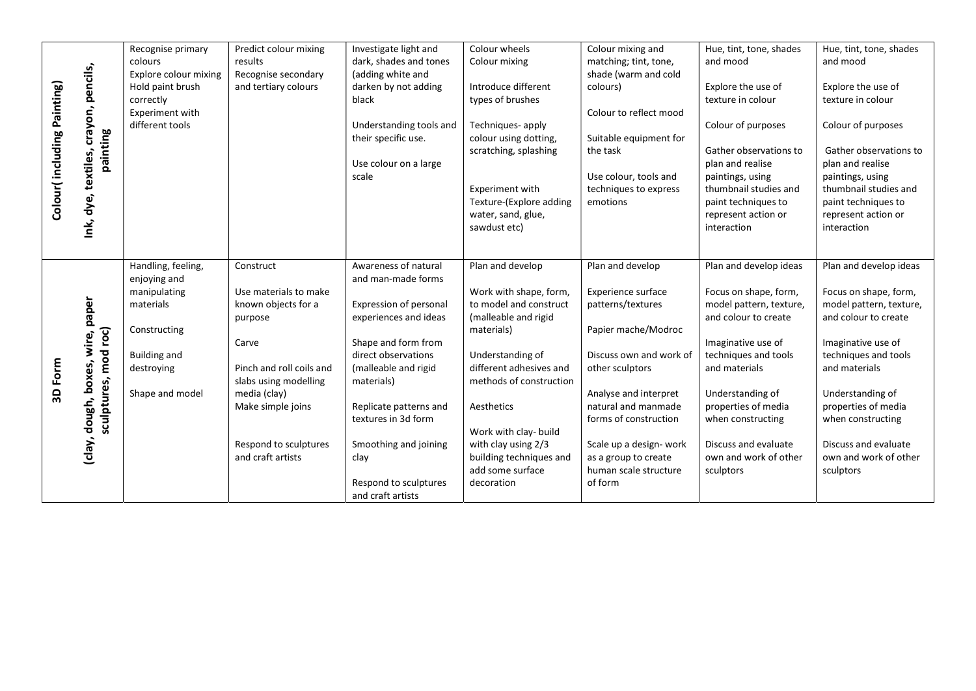|                            |                                                          | Recognise primary     | Predict colour mixing                 | Investigate light and   | Colour wheels                                 | Colour mixing and                            | Hue, tint, tone, shades                    | Hue, tint, tone, shades                    |
|----------------------------|----------------------------------------------------------|-----------------------|---------------------------------------|-------------------------|-----------------------------------------------|----------------------------------------------|--------------------------------------------|--------------------------------------------|
| Colour(including Painting) |                                                          | colours               | results                               | dark, shades and tones  | Colour mixing                                 | matching; tint, tone,                        | and mood                                   | and mood                                   |
|                            | Ink, dye, textiles, crayon, pencils,                     | Explore colour mixing | Recognise secondary                   | (adding white and       |                                               | shade (warm and cold                         |                                            |                                            |
|                            |                                                          | Hold paint brush      | and tertiary colours                  | darken by not adding    | Introduce different                           | colours)                                     | Explore the use of                         | Explore the use of                         |
|                            |                                                          | correctly             |                                       | black                   | types of brushes                              |                                              | texture in colour                          | texture in colour                          |
|                            |                                                          | Experiment with       |                                       |                         |                                               | Colour to reflect mood                       |                                            |                                            |
|                            |                                                          | different tools       |                                       | Understanding tools and | Techniques-apply                              |                                              | Colour of purposes                         | Colour of purposes                         |
|                            | painting                                                 |                       |                                       | their specific use.     | colour using dotting,                         | Suitable equipment for                       |                                            |                                            |
|                            |                                                          |                       |                                       |                         | scratching, splashing                         | the task                                     | Gather observations to                     | Gather observations to                     |
|                            |                                                          |                       |                                       | Use colour on a large   |                                               |                                              | plan and realise                           | plan and realise                           |
|                            |                                                          |                       |                                       | scale                   |                                               | Use colour, tools and                        | paintings, using                           | paintings, using                           |
|                            |                                                          |                       |                                       |                         | Experiment with                               | techniques to express                        | thumbnail studies and                      | thumbnail studies and                      |
|                            |                                                          |                       |                                       |                         | Texture-(Explore adding<br>water, sand, glue, | emotions                                     | paint techniques to<br>represent action or | paint techniques to<br>represent action or |
|                            |                                                          |                       |                                       |                         | sawdust etc)                                  |                                              | interaction                                | interaction                                |
|                            |                                                          |                       |                                       |                         |                                               |                                              |                                            |                                            |
|                            |                                                          |                       |                                       |                         |                                               |                                              |                                            |                                            |
|                            |                                                          | Handling, feeling,    | Construct                             | Awareness of natural    | Plan and develop                              | Plan and develop                             | Plan and develop ideas                     | Plan and develop ideas                     |
|                            |                                                          | enjoying and          |                                       | and man-made forms      |                                               |                                              |                                            |                                            |
|                            |                                                          | manipulating          | Use materials to make                 |                         | Work with shape, form,                        | <b>Experience surface</b>                    | Focus on shape, form,                      | Focus on shape, form,                      |
|                            |                                                          | materials             | known objects for a                   | Expression of personal  | to model and construct                        | patterns/textures                            | model pattern, texture,                    | model pattern, texture,                    |
|                            |                                                          |                       | purpose                               | experiences and ideas   | (malleable and rigid                          |                                              | and colour to create                       | and colour to create                       |
|                            |                                                          | Constructing          |                                       |                         | materials)                                    | Papier mache/Modroc                          |                                            |                                            |
|                            | (clay, dough, boxes, wire, paper<br>sculptures, mod roc) |                       | Carve                                 | Shape and form from     |                                               |                                              | Imaginative use of                         | Imaginative use of                         |
|                            |                                                          | <b>Building and</b>   |                                       | direct observations     | Understanding of                              | Discuss own and work of                      | techniques and tools                       | techniques and tools                       |
| 3D Form                    |                                                          | destroying            | Pinch and roll coils and              | (malleable and rigid    | different adhesives and                       | other sculptors                              | and materials                              | and materials                              |
|                            |                                                          | Shape and model       | slabs using modelling<br>media (clay) | materials)              | methods of construction                       |                                              | Understanding of                           | Understanding of                           |
|                            |                                                          |                       | Make simple joins                     | Replicate patterns and  | Aesthetics                                    | Analyse and interpret<br>natural and manmade | properties of media                        | properties of media                        |
|                            |                                                          |                       |                                       | textures in 3d form     |                                               | forms of construction                        | when constructing                          | when constructing                          |
|                            |                                                          |                       |                                       |                         | Work with clay- build                         |                                              |                                            |                                            |
|                            |                                                          |                       | Respond to sculptures                 | Smoothing and joining   | with clay using 2/3                           | Scale up a design- work                      | Discuss and evaluate                       | Discuss and evaluate                       |
|                            |                                                          |                       | and craft artists                     | clay                    | building techniques and                       | as a group to create                         | own and work of other                      | own and work of other                      |
|                            |                                                          |                       |                                       |                         | add some surface                              | human scale structure                        | sculptors                                  | sculptors                                  |
|                            |                                                          |                       |                                       | Respond to sculptures   | decoration                                    | of form                                      |                                            |                                            |
|                            |                                                          |                       |                                       | and craft artists       |                                               |                                              |                                            |                                            |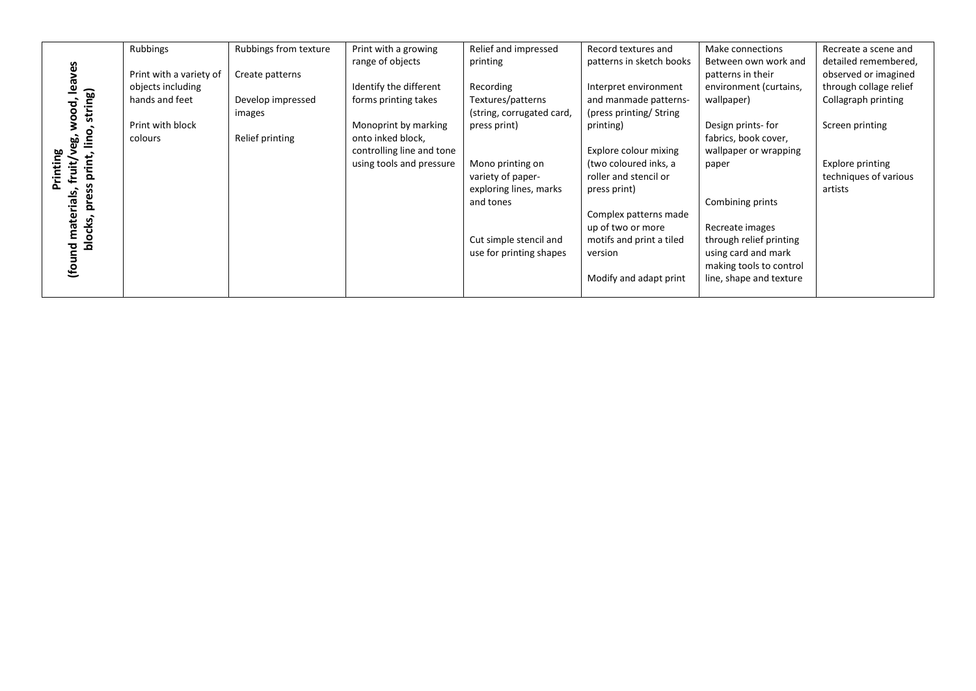|                          | Rubbings                | Rubbings from texture | Print with a growing      | Relief and impressed      | Record textures and      | Make connections        | Recreate a scene and   |
|--------------------------|-------------------------|-----------------------|---------------------------|---------------------------|--------------------------|-------------------------|------------------------|
|                          |                         |                       | range of objects          | printing                  | patterns in sketch books | Between own work and    | detailed remembered,   |
|                          | Print with a variety of | Create patterns       |                           |                           |                          | patterns in their       | observed or imagined   |
| leaves                   | objects including       |                       | Identify the different    | Recording                 | Interpret environment    | environment (curtains,  | through collage relief |
|                          | hands and feet          | Develop impressed     | forms printing takes      | Textures/patterns         | and manmade patterns-    | wallpaper)              | Collagraph printing    |
| string)                  |                         | images                |                           | (string, corrugated card, | (press printing/ String) |                         |                        |
| wood,<br>்               | Print with block        |                       | Monoprint by marking      | press print)              | printing)                | Design prints-for       | Screen printing        |
| Š<br>မ္မာ                | colours                 | Relief printing       | onto inked block,         |                           |                          | fabrics, book cover,    |                        |
|                          |                         |                       | controlling line and tone |                           | Explore colour mixing    | wallpaper or wrapping   |                        |
| nting<br>fruit/<br>print |                         |                       | using tools and pressure  | Mono printing on          | (two coloured inks, a    | paper                   | Explore printing       |
|                          |                         |                       |                           | variety of paper-         | roller and stencil or    |                         | techniques of various  |
| ပ္လ                      |                         |                       |                           | exploring lines, marks    | press print)             |                         | artists                |
| rials,<br>؏              |                         |                       |                           | and tones                 |                          | Combining prints        |                        |
|                          |                         |                       |                           |                           | Complex patterns made    |                         |                        |
| mater<br>ocks,           |                         |                       |                           |                           | up of two or more        | Recreate images         |                        |
| ᄒ                        |                         |                       |                           | Cut simple stencil and    | motifs and print a tiled | through relief printing |                        |
| (found                   |                         |                       |                           | use for printing shapes   | version                  | using card and mark     |                        |
|                          |                         |                       |                           |                           |                          | making tools to control |                        |
|                          |                         |                       |                           |                           | Modify and adapt print   | line, shape and texture |                        |
|                          |                         |                       |                           |                           |                          |                         |                        |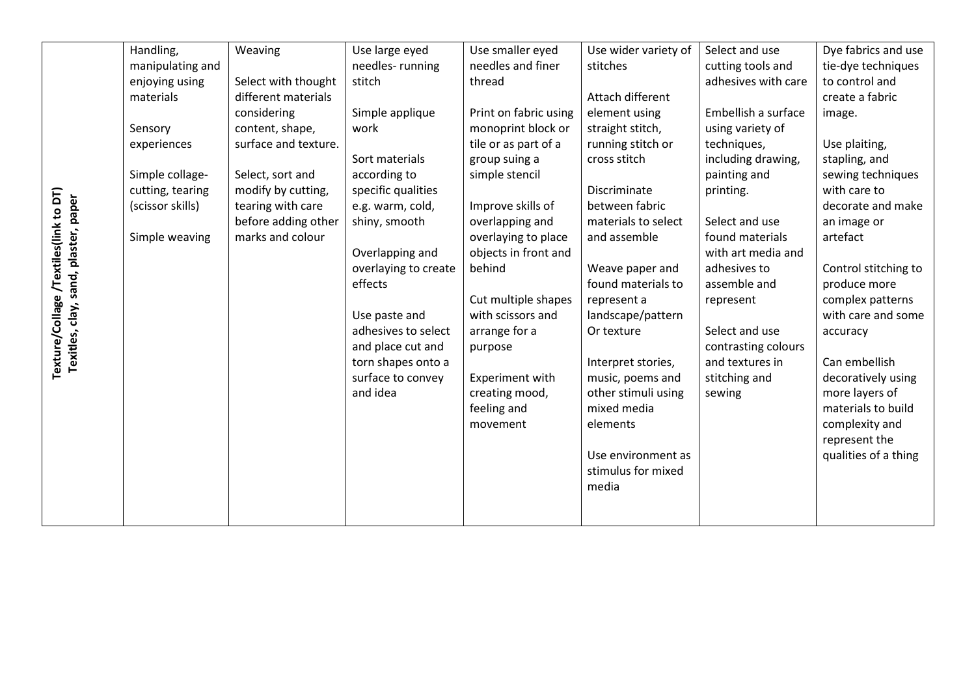|                                                                               | Handling,        | Weaving              | Use large eyed       | Use smaller eyed      | Use wider variety of | Select and use      | Dye fabrics and use  |
|-------------------------------------------------------------------------------|------------------|----------------------|----------------------|-----------------------|----------------------|---------------------|----------------------|
|                                                                               | manipulating and |                      | needles-running      | needles and finer     | stitches             | cutting tools and   | tie-dye techniques   |
|                                                                               | enjoying using   | Select with thought  | stitch               | thread                |                      | adhesives with care | to control and       |
|                                                                               | materials        | different materials  |                      |                       | Attach different     |                     | create a fabric      |
|                                                                               |                  | considering          | Simple applique      | Print on fabric using | element using        | Embellish a surface | image.               |
|                                                                               | Sensory          | content, shape,      | work                 | monoprint block or    | straight stitch,     | using variety of    |                      |
|                                                                               | experiences      | surface and texture. |                      | tile or as part of a  | running stitch or    | techniques,         | Use plaiting,        |
|                                                                               |                  |                      | Sort materials       | group suing a         | cross stitch         | including drawing,  | stapling, and        |
|                                                                               | Simple collage-  | Select, sort and     | according to         | simple stencil        |                      | painting and        | sewing techniques    |
|                                                                               | cutting, tearing | modify by cutting,   | specific qualities   |                       | Discriminate         | printing.           | with care to         |
| Texture/Collage /Textiles(link to DT)<br>Texitles, clay, sand, plaster, paper | (scissor skills) | tearing with care    | e.g. warm, cold,     | Improve skills of     | between fabric       |                     | decorate and make    |
|                                                                               |                  | before adding other  | shiny, smooth        | overlapping and       | materials to select  | Select and use      | an image or          |
|                                                                               | Simple weaving   | marks and colour     |                      | overlaying to place   | and assemble         | found materials     | artefact             |
|                                                                               |                  |                      | Overlapping and      | objects in front and  |                      | with art media and  |                      |
|                                                                               |                  |                      | overlaying to create | behind                | Weave paper and      | adhesives to        | Control stitching to |
|                                                                               |                  |                      | effects              |                       | found materials to   | assemble and        | produce more         |
|                                                                               |                  |                      |                      | Cut multiple shapes   | represent a          | represent           | complex patterns     |
|                                                                               |                  |                      | Use paste and        | with scissors and     | landscape/pattern    |                     | with care and some   |
|                                                                               |                  |                      | adhesives to select  | arrange for a         | Or texture           | Select and use      | accuracy             |
|                                                                               |                  |                      | and place cut and    | purpose               |                      | contrasting colours |                      |
|                                                                               |                  |                      | torn shapes onto a   |                       | Interpret stories,   | and textures in     | Can embellish        |
|                                                                               |                  |                      | surface to convey    | Experiment with       | music, poems and     | stitching and       | decoratively using   |
|                                                                               |                  |                      | and idea             | creating mood,        | other stimuli using  | sewing              | more layers of       |
|                                                                               |                  |                      |                      | feeling and           | mixed media          |                     | materials to build   |
|                                                                               |                  |                      |                      | movement              | elements             |                     | complexity and       |
|                                                                               |                  |                      |                      |                       |                      |                     | represent the        |
|                                                                               |                  |                      |                      |                       | Use environment as   |                     | qualities of a thing |
|                                                                               |                  |                      |                      |                       | stimulus for mixed   |                     |                      |
|                                                                               |                  |                      |                      |                       | media                |                     |                      |
|                                                                               |                  |                      |                      |                       |                      |                     |                      |
|                                                                               |                  |                      |                      |                       |                      |                     |                      |